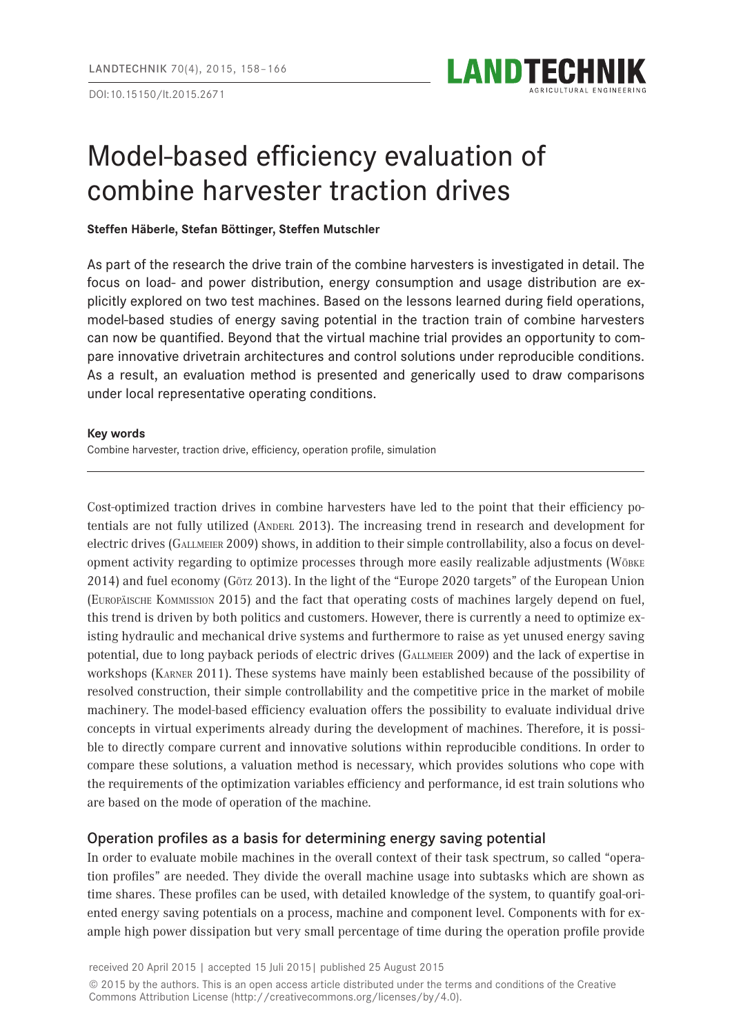DOI:10.15150/lt.2015.2671



# Model-based efficiency evaluation of combine harvester traction drives

#### **Steffen Häberle, Stefan Böttinger, Steffen Mutschler**

As part of the research the drive train of the combine harvesters is investigated in detail. The focus on load- and power distribution, energy consumption and usage distribution are explicitly explored on two test machines. Based on the lessons learned during field operations, model-based studies of energy saving potential in the traction train of combine harvesters can now be quantified. Beyond that the virtual machine trial provides an opportunity to compare innovative drivetrain architectures and control solutions under reproducible conditions. As a result, an evaluation method is presented and generically used to draw comparisons under local representative operating conditions.

#### **Key words**

Combine harvester, traction drive, efficiency, operation profile, simulation

Cost-optimized traction drives in combine harvesters have led to the point that their efficiency potentials are not fully utilized (ANDERL 2013). The increasing trend in research and development for electric drives (GALLMEIER 2009) shows, in addition to their simple controllability, also a focus on development activity regarding to optimize processes through more easily realizable adjustments (Wöbke 2014) and fuel economy (Götz 2013). In the light of the "Europe 2020 targets" of the European Union (Europäische Kommission 2015) and the fact that operating costs of machines largely depend on fuel, this trend is driven by both politics and customers. However, there is currently a need to optimize existing hydraulic and mechanical drive systems and furthermore to raise as yet unused energy saving potential, due to long payback periods of electric drives (Gallmeier 2009) and the lack of expertise in workshops (Karner 2011). These systems have mainly been established because of the possibility of resolved construction, their simple controllability and the competitive price in the market of mobile machinery. The model-based efficiency evaluation offers the possibility to evaluate individual drive concepts in virtual experiments already during the development of machines. Therefore, it is possible to directly compare current and innovative solutions within reproducible conditions. In order to compare these solutions, a valuation method is necessary, which provides solutions who cope with the requirements of the optimization variables efficiency and performance, id est train solutions who are based on the mode of operation of the machine.

# Operation profiles as a basis for determining energy saving potential

In order to evaluate mobile machines in the overall context of their task spectrum, so called "operation profiles" are needed. They divide the overall machine usage into subtasks which are shown as time shares. These profiles can be used, with detailed knowledge of the system, to quantify goal-oriented energy saving potentials on a process, machine and component level. Components with for example high power dissipation but very small percentage of time during the operation profile provide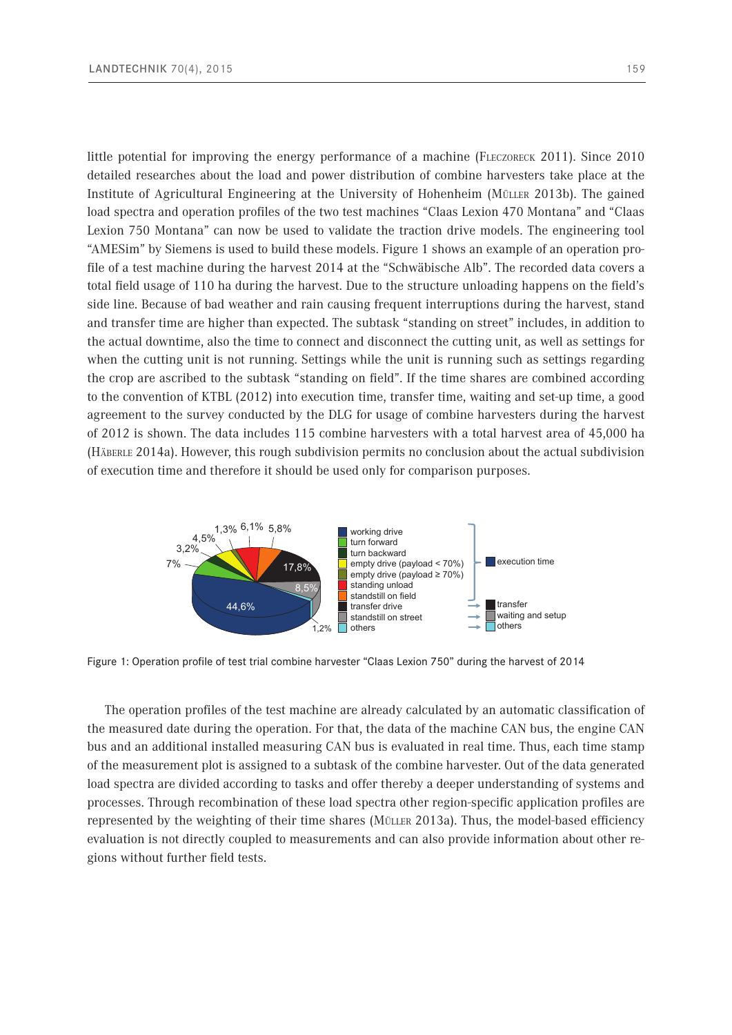little potential for improving the energy performance of a machine (FLECZORECK 2011). Since 2010 detailed researches about the load and power distribution of combine harvesters take place at the Institute of Agricultural Engineering at the University of Hohenheim (Müller 2013b). The gained load spectra and operation profiles of the two test machines "Claas Lexion 470 Montana" and "Claas Lexion 750 Montana" can now be used to validate the traction drive models. The engineering tool "AMESim" by Siemens is used to build these models. Figure 1 shows an example of an operation profile of a test machine during the harvest 2014 at the "Schwäbische Alb". The recorded data covers a total field usage of 110 ha during the harvest. Due to the structure unloading happens on the field's side line. Because of bad weather and rain causing frequent interruptions during the harvest, stand and transfer time are higher than expected. The subtask "standing on street" includes, in addition to the actual downtime, also the time to connect and disconnect the cutting unit, as well as settings for when the cutting unit is not running. Settings while the unit is running such as settings regarding the crop are ascribed to the subtask "standing on field". If the time shares are combined according to the convention of KTBL (2012) into execution time, transfer time, waiting and set-up time, a good agreement to the survey conducted by the DLG for usage of combine harvesters during the harvest of 2012 is shown. The data includes 115 combine harvesters with a total harvest area of 45,000 ha (Häberle 2014a). However, this rough subdivision permits no conclusion about the actual subdivision



Figure 1: Operation profile of test trial combine harvester "Claas Lexion 750" during the harvest of 2014

of execution time and therefore it should be used only for comparison purposes.

The operation profiles of the test machine are already calculated by an automatic classification of The operation profiles of the test machine are afready calculated by an adformatic classification of the machine cases. the measured dute during the operation. For that, the data of the machine of the sail, the engine of the bus and an additional installed measuring CAN bus is evaluated in real time. Thus, each time stamp of the measurement plot is assigned to a subtask of the combine harvester. Out of the data generated load spectra are divided according to tasks and offer thereby a deeper understanding of systems and processes. Through recombination of these load spectra other region-specific application profiles are represented by the weighting of their time shares (Müller 2013a). Thus, the model-based efficiency evaluation is not directly coupled to measurements and can also provide information about other regions without further field tests.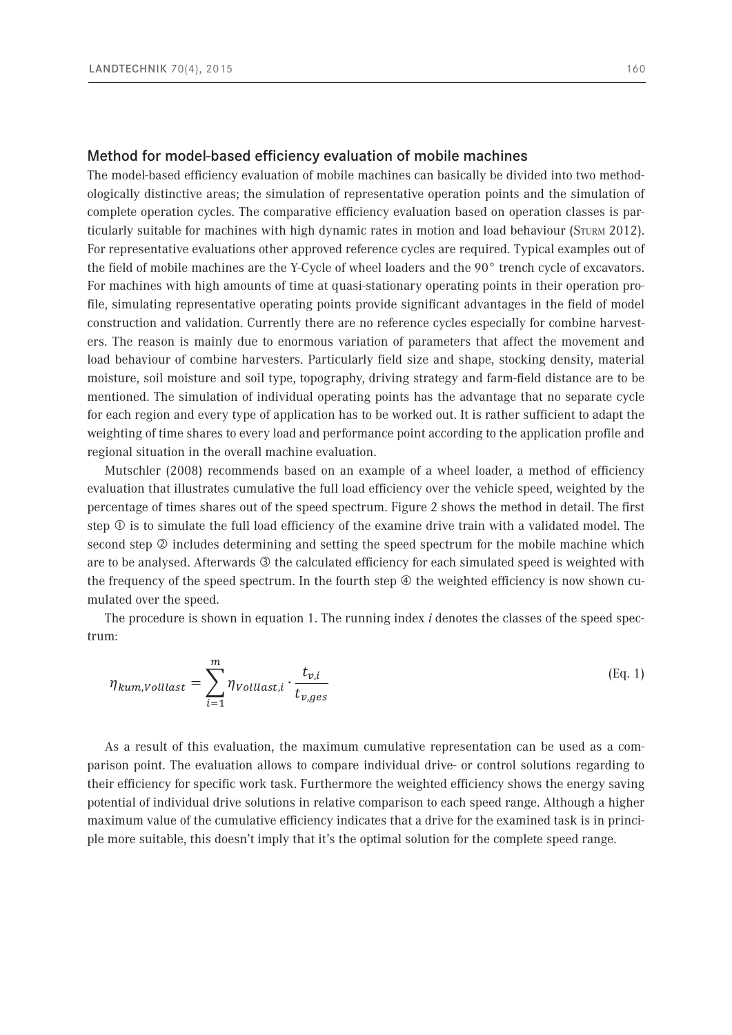#### Method for model-based efficiency evaluation of mobile machines

The model-based efficiency evaluation of mobile machines can basically be divided into two methodologically distinctive areas; the simulation of representative operation points and the simulation of complete operation cycles. The comparative efficiency evaluation based on operation classes is particularly suitable for machines with high dynamic rates in motion and load behaviour (Sturm 2012). For representative evaluations other approved reference cycles are required. Typical examples out of the field of mobile machines are the Y-Cycle of wheel loaders and the 90° trench cycle of excavators. For machines with high amounts of time at quasi-stationary operating points in their operation profile, simulating representative operating points provide significant advantages in the field of model construction and validation. Currently there are no reference cycles especially for combine harvesters. The reason is mainly due to enormous variation of parameters that affect the movement and load behaviour of combine harvesters. Particularly field size and shape, stocking density, material moisture, soil moisture and soil type, topography, driving strategy and farm-field distance are to be mentioned. The simulation of individual operating points has the advantage that no separate cycle for each region and every type of application has to be worked out. It is rather sufficient to adapt the weighting of time shares to every load and performance point according to the application profile and regional situation in the overall machine evaluation.

Mutschler (2008) recommends based on an example of a wheel loader, a method of efficiency evaluation that illustrates cumulative the full load efficiency over the vehicle speed, weighted by the percentage of times shares out of the speed spectrum. Figure 2 shows the method in detail. The first step  $\mathbb O$  is to simulate the full load efficiency of the examine drive train with a validated model. The second step  $\oslash$  includes determining and setting the speed spectrum for the mobile machine which are to be analysed. Afterwards <sup>3</sup> the calculated efficiency for each simulated speed is weighted with the frequency of the speed spectrum. In the fourth step  $\Phi$  the weighted efficiency is now shown cumulated over the speed.

The procedure is shown in equation 1. The running index *i* denotes the classes of the speed spectrum: 114 Formal drückt sich dieses Vorgehen wie folgt aus. Der Laufindex *i* bezeichnet dabei die Klassen des

$$
\eta_{kum, Volllast} = \sum_{i=1}^{m} \eta_{Volllast,i} \cdot \frac{t_{v,i}}{t_{v,ges}}
$$
\n(Eq. 1)

potential of individual drive solutions in relative comparison to each speed range. Although a higher maximum value of the cumulative efficiency indicates that a drive for the examined task is in princiimal their efficiency for specific work task. Furthermore the weighted efficiency shows the energy saving a result of this evaluation, the maintimant cumulative representation can be used as a comparison point. The evaluation allows to compare individual drive- or control solutions regarding to As a result of this evaluation, the maximum cumulative representation can be used as a coma d<br>plu ple more suitable, this doesn't imply that it's the optimal solution for the complete speed range.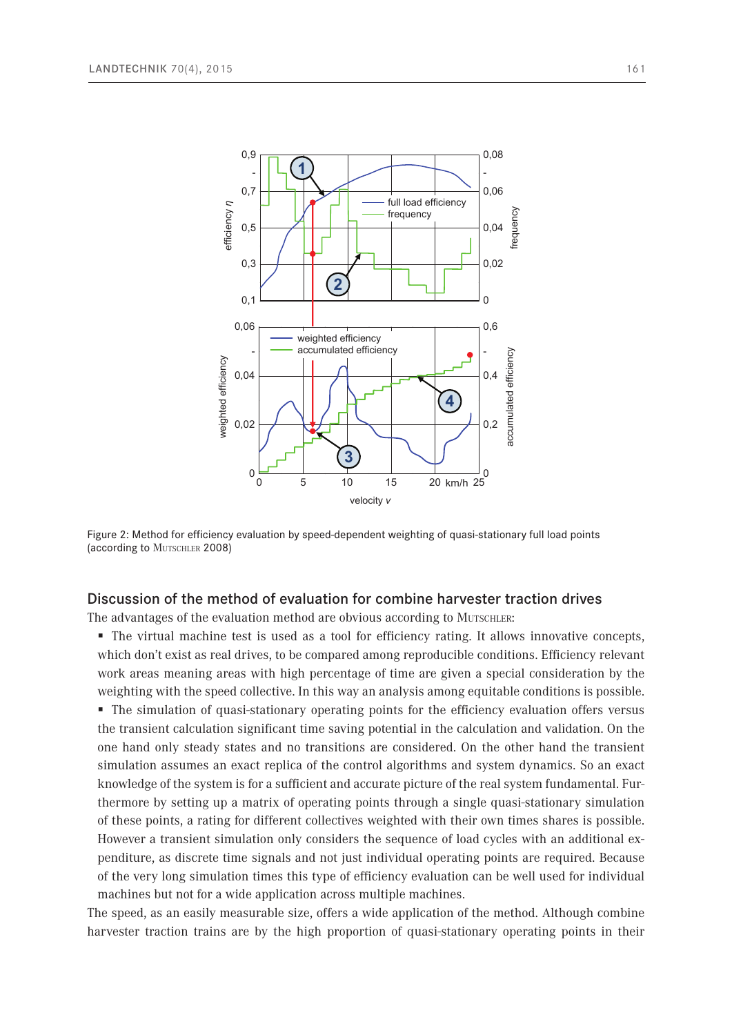

Figure 2: Method for efficiency evaluation by speed-dependent weighting of quasi-stationary full load points (according to MUTSCHLER 2008)  $W$ uschleid  $2000$ 

## Discussion of the method of evaluation for combine harvester traction drives

The advantages of the evaluation method are obvious according to Mutschler:

 The virtual machine test is used as a tool for efficiency rating. It allows innovative concepts, which don't exist as real drives, to be compared among reproducible conditions. Efficiency relevant work areas meaning areas with high percentage of time are given a special consideration by the weighting with the speed collective. In this way an analysis among equitable conditions is possible. • The simulation of quasi-stationary operating points for the efficiency evaluation offers versus the transient calculation significant time saving potential in the calculation and validation. On the one hand only steady states and no transitions are considered. On the other hand the transient simulation assumes an exact replica of the control algorithms and system dynamics. So an exact knowledge of the system is for a sufficient and accurate picture of the real system fundamental. Furthermore by setting up a matrix of operating points through a single quasi-stationary simulation of these points, a rating for different collectives weighted with their own times shares is possible. However a transient simulation only considers the sequence of load cycles with an additional expenditure, as discrete time signals and not just individual operating points are required. Because of the very long simulation times this type of efficiency evaluation can be well used for individual machines but not for a wide application across multiple machines.

The speed, as an easily measurable size, offers a wide application of the method. Although combine harvester traction trains are by the high proportion of quasi-stationary operating points in their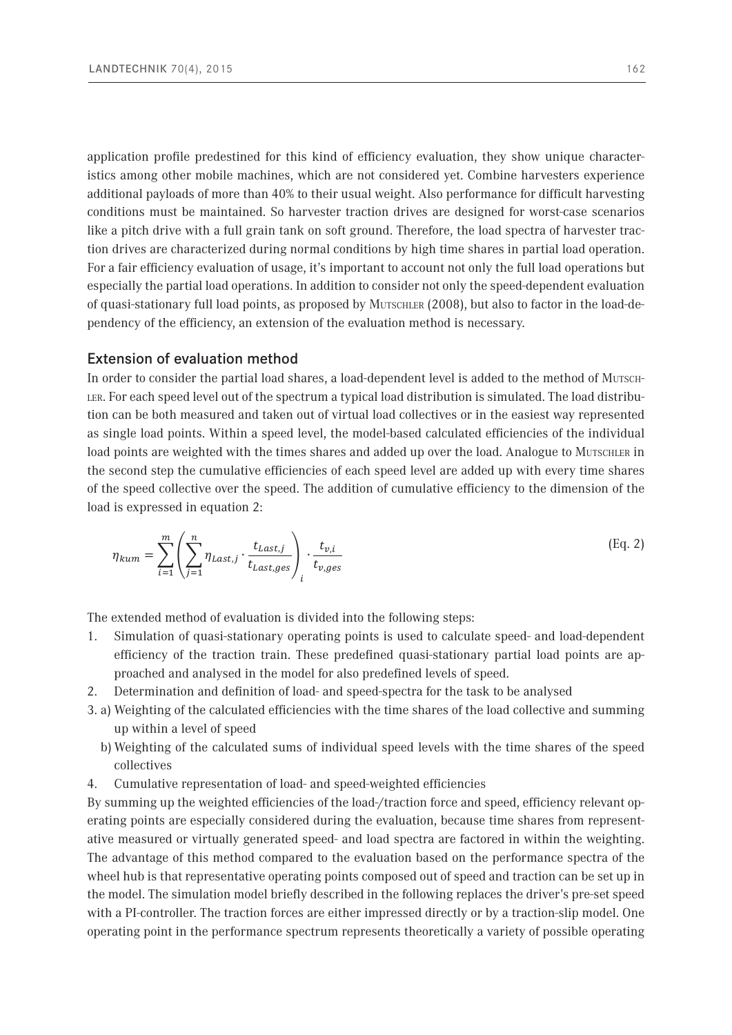application profile predestined for this kind of efficiency evaluation, they show unique characteristics among other mobile machines, which are not considered yet. Combine harvesters experience additional payloads of more than 40% to their usual weight. Also performance for difficult harvesting conditions must be maintained. So harvester traction drives are designed for worst-case scenarios like a pitch drive with a full grain tank on soft ground. Therefore, the load spectra of harvester traction drives are characterized during normal conditions by high time shares in partial load operation. For a fair efficiency evaluation of usage, it's important to account not only the full load operations but especially the partial load operations. In addition to consider not only the speed-dependent evaluation of quasi-stationary full load points, as proposed by Mutschler (2008), but also to factor in the load-dependency of the efficiency, an extension of the evaluation method is necessary.

### Extension of evaluation method

In order to consider the partial load shares, a load-dependent level is added to the method of Mutschler. For each speed level out of the spectrum a typical load distribution is simulated. The load distribution can be both measured and taken out of virtual load collectives or in the easiest way represented as single load points. Within a speed level, the model-based calculated efficiencies of the individual load points are weighted with the times shares and added up over the load. Analogue to MUTSCHLER in the second step the cumulative efficiencies of each speed level are added up with every time shares of the speed collective over the speed. The addition of cumulative efficiency to the dimension of the load is expressed in equation 2:

$$
\eta_{kum} = \sum_{i=1}^{m} \left( \sum_{j=1}^{n} \eta_{Last,j} \cdot \frac{t_{Last,j}}{t_{Last,ges}} \right)_i \cdot \frac{t_{v,i}}{t_{v,ges}}
$$
(Eq. 2)

The extended method of evaluation is divided into the following steps:

- 1. Simulation of quasi-stationary operating points is used to calculate speed- and load-dependent efficiency of the traction train. These predefined quasi-stationary partial load points are approached and analysed in the model for also predefined levels of speed.
- 2. Determination and definition of load- and speed-spectra for the task to be analysed
- 3. a) Weighting of the calculated efficiencies with the time shares of the load collective and summing up within a level of speed
	- b) Weighting of the calculated sums of individual speed levels with the time shares of the speed collectives
- 4. Cumulative representation of load- and speed-weighted efficiencies

By summing up the weighted efficiencies of the load-/traction force and speed, efficiency relevant operating points are especially considered during the evaluation, because time shares from representative measured or virtually generated speed- and load spectra are factored in within the weighting. The advantage of this method compared to the evaluation based on the performance spectra of the wheel hub is that representative operating points composed out of speed and traction can be set up in the model. The simulation model briefly described in the following replaces the driver's pre-set speed with a PI-controller. The traction forces are either impressed directly or by a traction-slip model. One operating point in the performance spectrum represents theoretically a variety of possible operating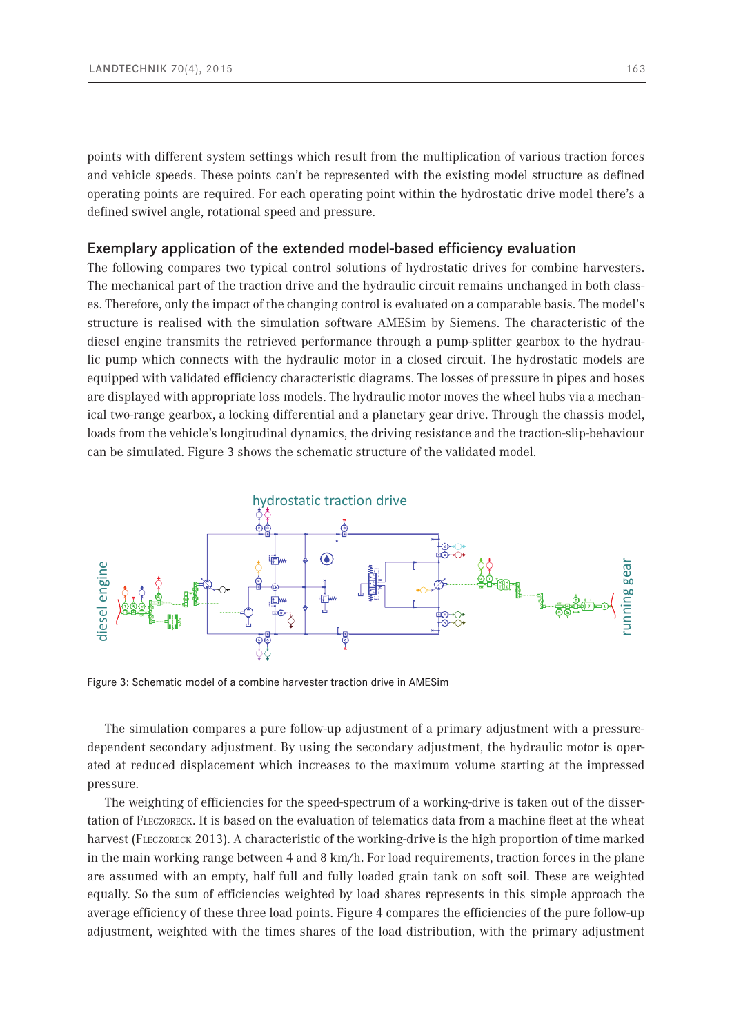points with different system settings which result from the multiplication of various traction forces and vehicle speeds. These points can't be represented with the existing model structure as defined operating points are required. For each operating point within the hydrostatic drive model there's a defined swivel angle, rotational speed and pressure.

#### Exemplary application of the extended model-based efficiency evaluation

The following compares two typical control solutions of hydrostatic drives for combine harvesters. The mechanical part of the traction drive and the hydraulic circuit remains unchanged in both classes. Therefore, only the impact of the changing control is evaluated on a comparable basis. The model's structure is realised with the simulation software AMESim by Siemens. The characteristic of the diesel engine transmits the retrieved performance through a pump-splitter gearbox to the hydraulic pump which connects with the hydraulic motor in a closed circuit. The hydrostatic models are equipped with validated efficiency characteristic diagrams. The losses of pressure in pipes and hoses are displayed with appropriate loss models. The hydraulic motor moves the wheel hubs via a mechanical two-range gearbox, a locking differential and a planetary gear drive. Through the chassis model, loads from the vehicle's longitudinal dynamics, the driving resistance and the traction-slip-behaviour can be simulated. Figure 3 shows the schematic structure of the validated model.



Figure 3: Schematic model of a combine harvester traction drive in AMESim

The simulation compares a pure follow-up adjustment of a primary adjustment with a pressuredependent secondary adjustment. By using the secondary adjustment, the hydraulic motor is operated at reduced displacement which increases to the maximum volume starting at the impressed pressure.

The weighting of efficiencies for the speed-spectrum of a working-drive is taken out of the dissertation of Fleczoreck. It is based on the evaluation of telematics data from a machine fleet at the wheat harvest (FLECZORECK 2013). A characteristic of the working-drive is the high proportion of time marked in the main working range between 4 and 8 km/h. For load requirements, traction forces in the plane are assumed with an empty, half full and fully loaded grain tank on soft soil. These are weighted equally. So the sum of efficiencies weighted by load shares represents in this simple approach the average efficiency of these three load points. Figure 4 compares the efficiencies of the pure follow-up adjustment, weighted with the times shares of the load distribution, with the primary adjustment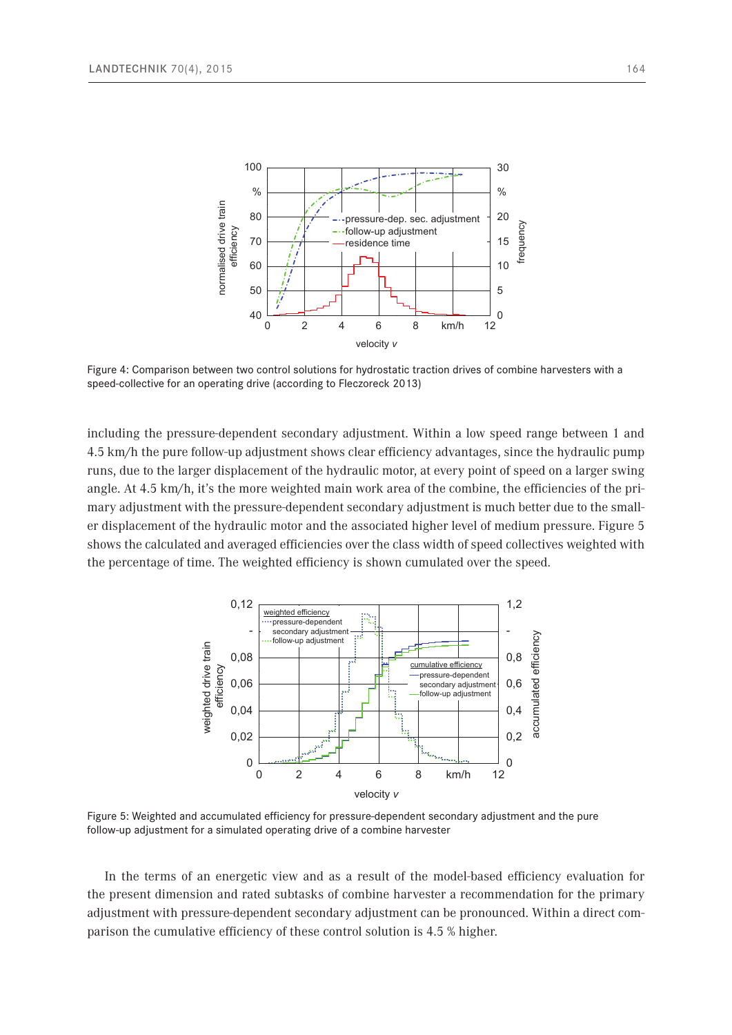

Figure 4: Comparison between two control solutions for hydrostatic traction drives of combine harvesters with a speed-collective for an operating drive (according to Fleczoreck 2013)

including the pressure-dependent secondary adjustment. Within a low speed range between 1 and  $\overline{a}$ 4.5 km/h the pure follow-up adjustment shows clear efficiency advantages, since the hydraulic pump 4.5 Km/h the pute follow-up adjustment shows clear emclency advantages, since the hydraunc pump<br>runs, due to the larger displacement of the hydraulic motor, at every point of speed on a larger swing angle. At 4.5 km/h, it's the more weighted main work area of the combine, the efficiencies of the primary adjustment with the pressure-dependent secondary adjustment is much better due to the smaller displacement of the hydraulic motor and the associated higher level of medium pressure. Figure 5 shows the calculated and averaged efficiencies over the class width of speed collectives weighted with the percentage of time. The weighted efficiency is shown cumulated over the speed.



Figure 5: Weighted and accumulated efficiency for pressure-dependent secondary adjustment and the pure follow-up adjustment for a simulated operating drive of a combine harvester

In the terms of an energetic view and as a result of the model-based efficiency evaluation for the present dimension and rated subtasks of combine harvester a recommendation for the primary adjustment with pressure-dependent secondary adjustment can be pronounced. Within a direct comparison the cumulative efficiency of these control solution is 4.5 % higher.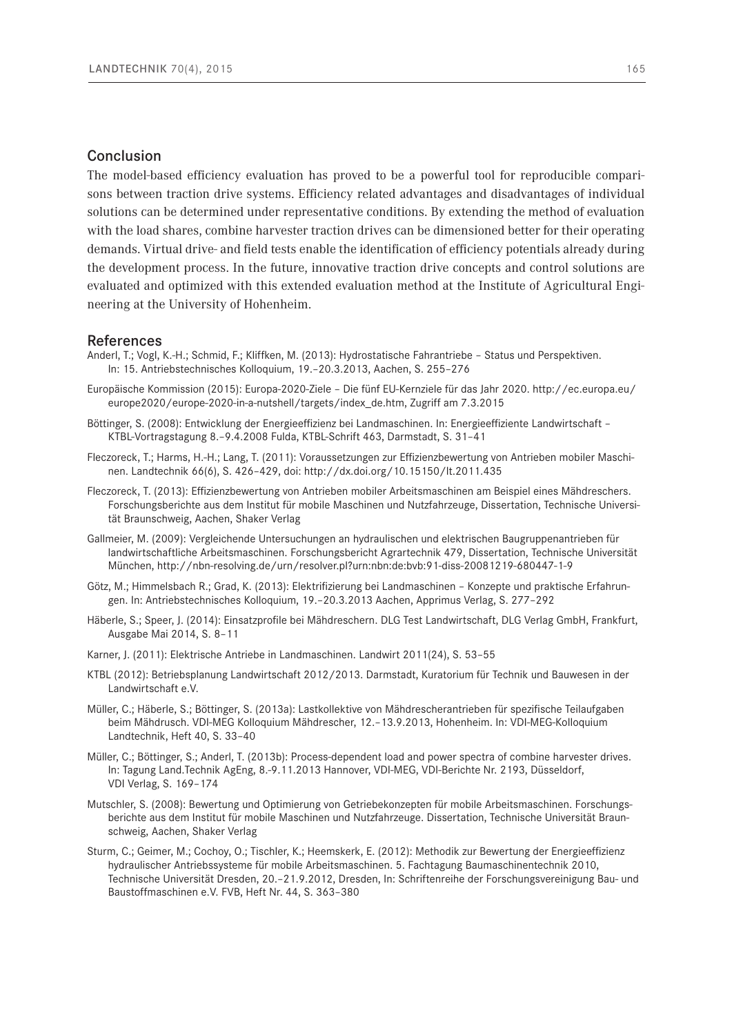## Conclusion

The model-based efficiency evaluation has proved to be a powerful tool for reproducible comparisons between traction drive systems. Efficiency related advantages and disadvantages of individual solutions can be determined under representative conditions. By extending the method of evaluation with the load shares, combine harvester traction drives can be dimensioned better for their operating demands. Virtual drive- and field tests enable the identification of efficiency potentials already during the development process. In the future, innovative traction drive concepts and control solutions are evaluated and optimized with this extended evaluation method at the Institute of Agricultural Engineering at the University of Hohenheim.

#### References

- Anderl, T.; Vogl, K.-H.; Schmid, F.; Kliffken, M. (2013): Hydrostatische Fahrantriebe Status und Perspektiven. In: 15. Antriebstechnisches Kolloquium, 19.–20.3.2013, Aachen, S. 255–276
- Europäische Kommission (2015): Europa-2020-Ziele Die fünf EU-Kernziele für das Jahr 2020. [http://ec.europa.eu/](http://ec.europa.eu/europe2020/europe-2020-in-a-nutshell/targets/index_de.htm) [europe2020/europe-2020-in-a-nutshell/targets/index\\_de.htm,](http://ec.europa.eu/europe2020/europe-2020-in-a-nutshell/targets/index_de.htm) Zugriff am 7.3.2015
- Böttinger, S. (2008): Entwicklung der Energieeffizienz bei Landmaschinen. In: Energieeffiziente Landwirtschaft KTBL-Vortragstagung 8.–9.4.2008 Fulda, KTBL-Schrift 463, Darmstadt, S. 31–41
- Fleczoreck, T.; Harms, H.-H.; Lang, T. (2011): Voraussetzungen zur Effizienzbewertung von Antrieben mobiler Maschinen. Landtechnik 66(6), S. 426–429, doi: http://dx.doi.org/10.15150/lt.2011.435
- Fleczoreck, T. (2013): Effizienzbewertung von Antrieben mobiler Arbeitsmaschinen am Beispiel eines Mähdreschers. Forschungsberichte aus dem Institut für mobile Maschinen und Nutzfahrzeuge, Dissertation, Technische Universität Braunschweig, Aachen, Shaker Verlag
- Gallmeier, M. (2009): Vergleichende Untersuchungen an hydraulischen und elektrischen Baugruppenantrieben für landwirtschaftliche Arbeitsmaschinen. Forschungsbericht Agrartechnik 479, Dissertation, Technische Universität München, <http://nbn-resolving.de/urn/resolver.pl?urn:nbn:de:bvb:91-diss-20081219-680447-1-9>
- Götz, M.; Himmelsbach R.; Grad, K. (2013): Elektrifizierung bei Landmaschinen Konzepte und praktische Erfahrungen. In: Antriebstechnisches Kolloquium, 19.–20.3.2013 Aachen, Apprimus Verlag, S. 277–292
- Häberle, S.; Speer, J. (2014): Einsatzprofile bei Mähdreschern. DLG Test Landwirtschaft, DLG Verlag GmbH, Frankfurt, Ausgabe Mai 2014, S. 8–11
- Karner, J. (2011): Elektrische Antriebe in Landmaschinen. Landwirt 2011(24), S. 53–55
- KTBL (2012): Betriebsplanung Landwirtschaft 2012/2013. Darmstadt, Kuratorium für Technik und Bauwesen in der Landwirtschaft e.V.
- Müller, C.; Häberle, S.; Böttinger, S. (2013a): Lastkollektive von Mähdrescherantrieben für spezifische Teilaufgaben beim Mähdrusch. VDI-MEG Kolloquium Mähdrescher, 12.–13.9.2013, Hohenheim. In: VDI-MEG-Kolloquium Landtechnik, Heft 40, S. 33–40
- Müller, C.; Böttinger, S.; Anderl, T. (2013b): Process-dependent load and power spectra of combine harvester drives. In: Tagung Land.Technik AgEng, 8.-9.11.2013 Hannover, VDI-MEG, VDI-Berichte Nr. 2193, Düsseldorf, VDI Verlag, S. 169–174
- Mutschler, S. (2008): Bewertung und Optimierung von Getriebekonzepten für mobile Arbeitsmaschinen. Forschungsberichte aus dem Institut für mobile Maschinen und Nutzfahrzeuge. Dissertation, Technische Universität Braunschweig, Aachen, Shaker Verlag
- Sturm, C.; Geimer, M.; Cochoy, O.; Tischler, K.; Heemskerk, E. (2012): Methodik zur Bewertung der Energieeffizienz hydraulischer Antriebssysteme für mobile Arbeitsmaschinen. 5. Fachtagung Baumaschinentechnik 2010, Technische Universität Dresden, 20.–21.9.2012, Dresden, In: Schriftenreihe der Forschungsvereinigung Bau- und Baustoffmaschinen e.V. FVB, Heft Nr. 44, S. 363–380